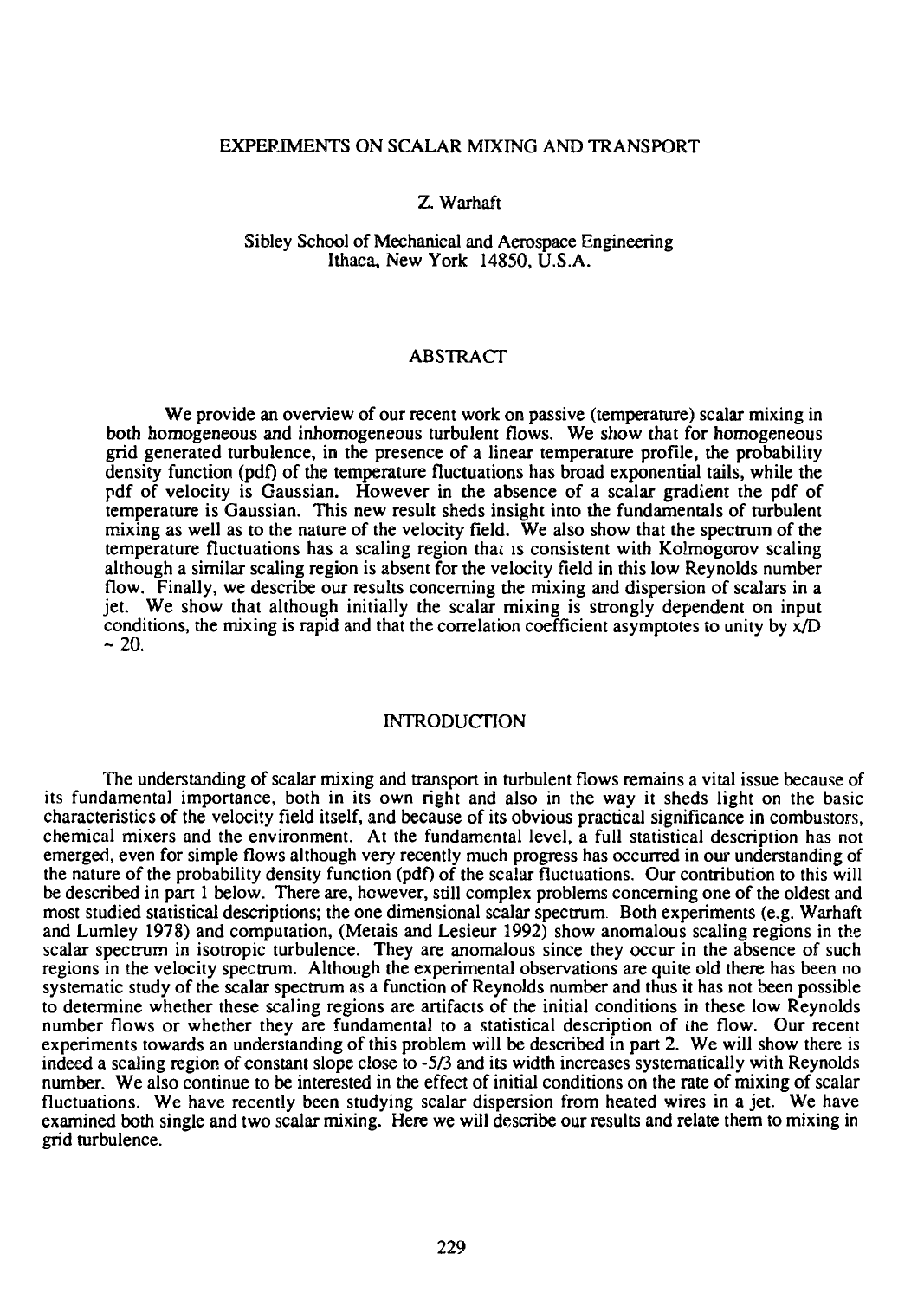## EXPERIMENTS ON SCALAR MIXING AND TRANSPORT

# Z. Warhaft

## Sibley School of Mechanical and Aerospace Engineering Ithaca, New York 14850, U.S.A.

## ABSTRACT

We provide an overview of our recent work on passive (temperature) scalar mixing in both homogeneous and inhomogeneous turbulent flows. We show that for homogeneous grid generated turbulence, in the presence of a linear temperature profile, the probability density function (pdf) of the temperature fluctuations has broad exponential tails, while the pdf of velocity is Gaussian. However in the absence of a scalar gradient the pdf of temperature is Gaussian. This new result sheds insight into the fundamentals of turbulent mixing as well as to the nature of the velocity field. We also show that the spectrum of the temperature fluctuations has a scaling region that is consistent with Kolmogorov scaling although a similar scaling region is absent for the velocity field in this low Reynolds number flow. Finally, we describe our results concerning the mixing and dispersion of scalars in a jet. We show that although initially the scalar mixing is strongly dependent on input conditions, the mixing is rapid and that the correlation coefficient asymptotes to unity by  $\dot{x}/D$  $-20$ 

### INTRODUCTION

The understanding of scalar mixing and transport in turbulent flows remains a vital issue because of its fundamental importance, both in its own right and also in the way it sheds light on the basic characteristics of the velocity field itself, and because of its obvious practical significance in combustors, chemical mixers and the environment. At the fundamental level, a full statistical description has not emerged, even for simple flows although very recently much progress has occurred in our understanding of the nature of the probability density function (pdf) of the scalar fluctuations. Our contribution to this will be described in part 1 below. There are, however, still complex problems concerning one of the oldest and most studied statistical descriptions; the one dimensional scalar spectrum. Both experiments (e.g. Warhaft and Lumley 1978) and computation, (Metais and Lesieur 1992) show anomalous scaling regions in the scalar spectrum in isotropic turbulence. They are anomalous since they occur in the absence of such regions in the velocity spectrum. Although the experimental observations are quite old there has been no systematic study of the scalar spectrum as a function of Reynolds number and thus it has not been possible to determine whether these scaling regions are artifacts of the initial conditions in these low Reynolds number flows or whether they are fundamental to a statistical description of the flow. Our recent experiments towards an understanding of this problem will be described in part 2. We will show there is indeed a scaling region of constant slope close to -5/3 and its width increases systematically with Reynolds number. We also continue to be interested in the effect of initial conditions on the rate of mixing of scalar fluctuations. We have recently been studying scalar dispersion from heated wires in a jet. We have examined both single and two scalar mixing. Here we will describe our results and relate them to mixing in grid turbulence.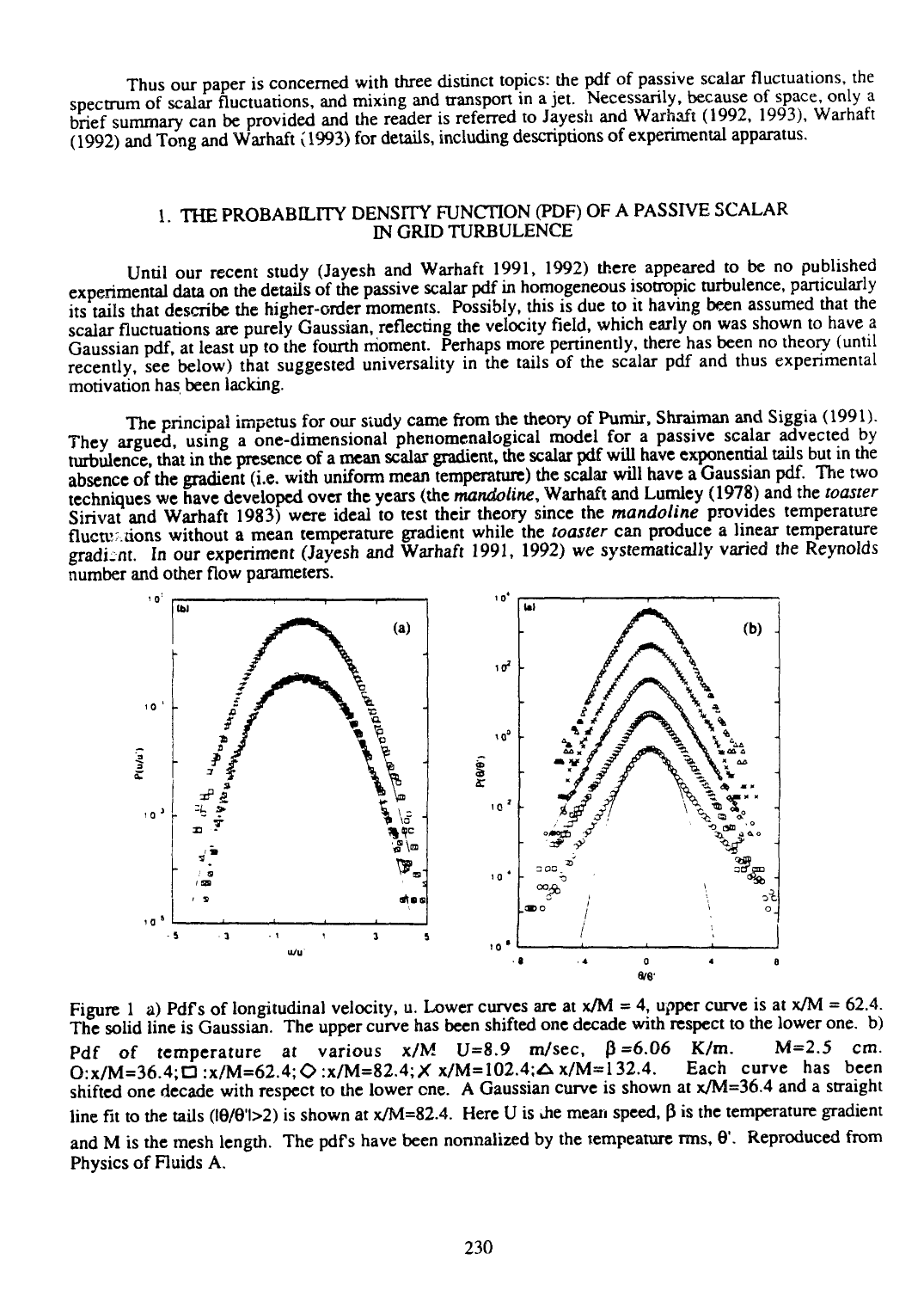Thus our paper is concerned with three distinct topics: the pdf of passive scalar fluctuations, the spectrum of scalar fluctuations, and mixing and transport in a jet. Necessarily, because of space, only a brief summary can be provided and the reader is referred to Jayesh and Warhaft (1992, 1993), Warhaft (1992) and Tong and Warhaft (1993) for details, including descriptions of experimental apparatus.

# 1. THE PROBABILITY DENSITY FUNCTION (PDF) OF A PASSIVE SCALAR IN GRID TURBULENCE

Until our recent study (Jayesh and Warhaft 1991, 1992) there appeared to be no published experimental data on the details of the passive scalar pdf in homogeneous isotropic turbulence, particularly its tails that describe the higher-order moments. Possibly, this is due to it having been assumed that the scalar fluctuations are purely Gaussian, reflecting the velocity field, which early on was shown to have a Gaussian pdf, at least up to the fourth moment. Perhaps more pertinently, there has been no theory (until recently, see below) that suggested universality in the tails of the scalar pdf and thus experimental motivation has been lacking.

The principal impetus for our study came from the theory of Pumir, Shraiman and Siggia (1991). They argued, using a one-dimensional phenomenalogical model for a passive scalar advected by turbulence, that in the presence of a mean scalar gradient, the scalar pdf will have exponential tails but in the absence of the gradient (i.e. with uniform mean temperature) the scalar will have a Gaussian pdf. The two techniques we have developed over the years (the *mandoline,* Warhaft and Lumley (1978) and the *toaster* Sirivat and Warhaft 1983) were ideal to test their theory since the *mandoline* provides temperature flucty tions without a mean temperature gradient while the *toaster* can produce a linear temperature gradient. In our experiment (Jayesh and Warhaft 1991, 1992) we systematically varied the Reynolds number and other flow parameters.



Figure 1 a) Pdf's of longitudinal velocity, u. Lower curves are at  $x/M = 4$ , upper curve is at  $x/M = 62.4$ . The solid line is Gaussian. The upper curve has been shifted one decade with respect to the lower one. b) Pdf of temperature at various  $x/M$  U=8.9 m/sec,  $\beta$ =6.06 K/m. M=2.5 cm.<br>O:x/M=36.4: $\Gamma$ :x/M=62.4: $\Omega$ :x/M=82.4: $X$ x/M=102.4: $\Delta$ x/M=132.4. Each curve has been  $0: x/M=36.4; \square: x/M=62.4; \diamondsuit: x/M=82.4; X x/M=102.4; \triangle x/M=132.4.$ shifted one decade with respect to the lower one. A Gaussian curve is shown at x/M=36.4 and a straight line fit to the tails ( $\left(\frac{1}{2}\right)$ ) is shown at x/M=82.4. Here U is the mean speed,  $\beta$  is the temperature gradient and M is the mesh length. The pdf's have been nonnalized by the tempeature rms,  $\theta'$ . Reproduced from Physics of Fluids A.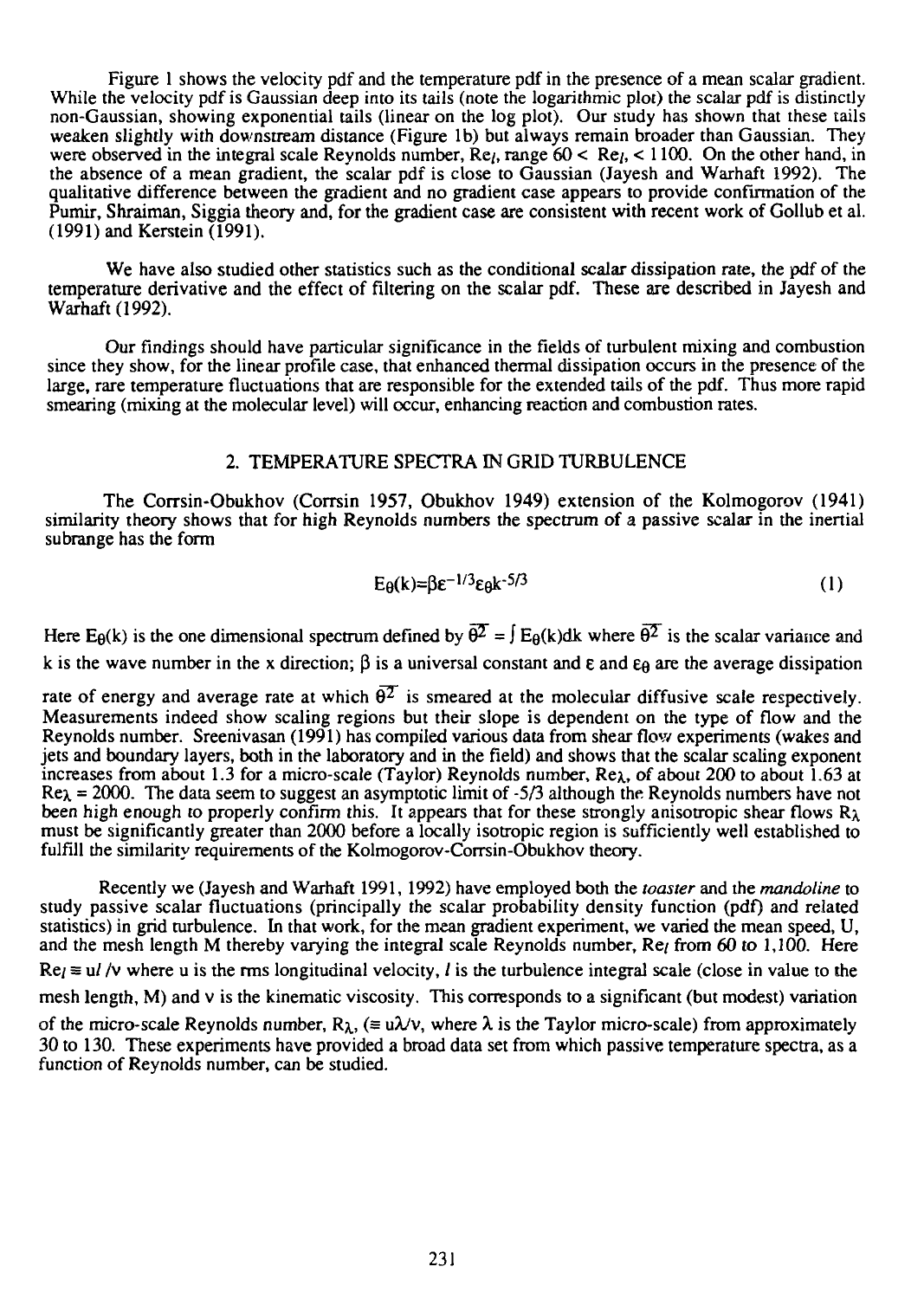Figure 1 shows the velocity pdf and the temperature pdf in the presence of a mean scalar gradient. While the velocity pdf is Gaussian deep into its tails (note the logarithmic plot) the scalar pdf is distinctly non-Gaussian, showing exponential tails (linear on the log plot). Our study has shown that these tails weaken slightly with downstream distance (Figure lb) but always remain broader than Gaussian. They were observed in the integral scale Reynolds number,  $Re_l$ , range  $60 < Re_l$ ,  $< 1100$ . On the other hand, in the absence of a mean gradient, the scalar pdf is close to Gaussian (Jayesh and Warhaft 1992). The qualitative difference between the gradient and no gradient case appears to provide confirmation of the Pumir, Shraiman, Siggia theory and, for the gradient case are consistent with recent work of Gollub et al. (1991) and Kerstein (1991).

We have also studied other statistics such as the conditional scalar dissipation rate, the pdf of the temperature derivative and the effect of filtering on the scalar pdf. These are described in Jayesh and Warhaft (1992).

Our findings should have particular significance in the fields of turbulent mixing and combustion since they show, for the linear profile case, that enhanced thermal dissipation occurs in the presence of the large, rare temperature fluctuations that are responsible for the extended tails of the pdf. Thus more rapid smearing (mixing at the molecular level) will occur, enhancing reaction and combustion rates.

## 2. TEMPERATURE SPECTRA IN GRID TURBULENCE

The Corrsin-Obukhov (Corrsin 1957, Obukhov 1949) extension of the Kolmogorov (1941) similarity theory shows that for high Reynolds numbers the spectrum of a passive scalar in the inertial subrange has the form

$$
E_{\theta}(k) = \beta \varepsilon^{-1/3} \varepsilon_{\theta} k^{-5/3}
$$
 (1)

Here E<sub>0</sub>(k) is the one dimensional spectrum defined by  $\overline{\theta}^2 = \int E_0(k)dk$  where  $\overline{\theta}^2$  is the scalar variance and k is the wave number in the x direction;  $\beta$  is a universal constant and  $\epsilon$  and  $\epsilon_{\beta}$  are the average dissipation

rate of energy and average rate at which  $\overline{\theta^2}$  is smeared at the molecular diffusive scale respectively. Measurements indeed show scaling regions but their slope is dependent on the type of flow and the Reynolds number. Sreenivasan (1991) has compiled various data from shear flow experiments (wakes and jets and boundary layers, both in the laboratory and in the field) and shows that the scalar scaling exponent increases from about 1.3 for a micro-scale (Taylor) Reynolds number, Rex, of about 200 to about 1.63 at  $Re\lambda = 2000$ . The data seem to suggest an asymptotic limit of -5/3 although the Reynolds numbers have not been high enough to properly confirm this. It appears that for these strongly anisotropic shear flows *R\* must be significantly greater than 2000 before a locally isotropic region is sufficiently well established to fulfill the similarity requirements of the Kolmogorov-Corrsin-Obukhov theory.

Recently we (Jayesh and Warhaft 1991, 1992) have employed both the *toaster* and the *mandoline* to study passive scalar fluctuations (principally the scalar probability density function (pdf) and related statistics) in grid turbulence. In that work, for the mean gradient experiment, we varied the mean speed, U, and the mesh length M thereby varying the integral scale Reynolds number, Re<sub>l</sub> from 60 to 1,100. Here  $Re \equiv u / v$  where u is the rms longitudinal velocity, l is the turbulence integral scale (close in value to the mesh length, M) and  $\nu$  is the kinematic viscosity. This corresponds to a significant (but modest) variation of the micro-scale Reynolds number,  $R_{\lambda}$ , ( $= u\lambda/v$ , where  $\lambda$  is the Taylor micro-scale) from approximately 30 to 130. These experiments have provided a broad data set from which passive temperature spectra, as a function of Reynolds number, can be studied.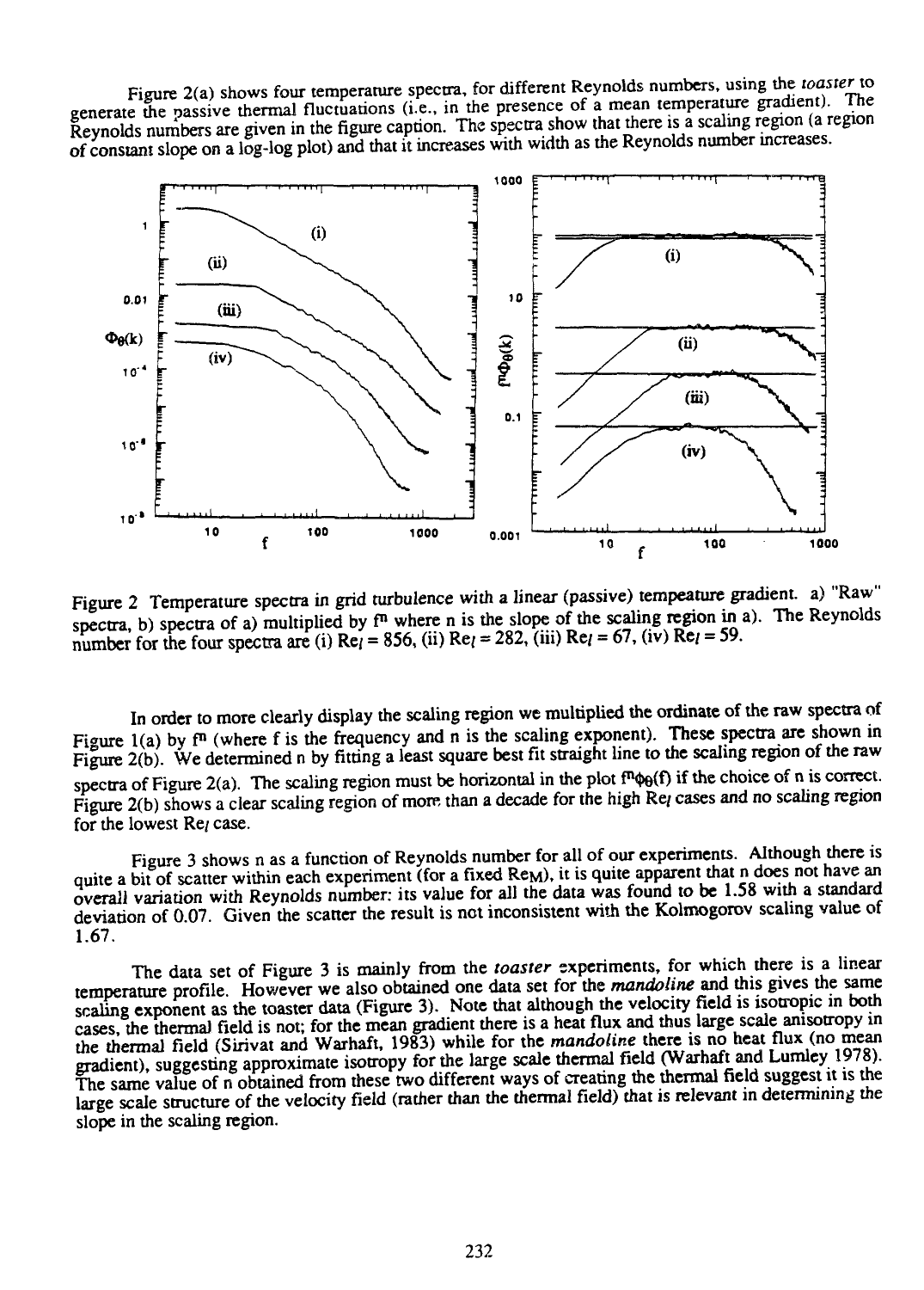Figure 2(a) shows four temperature spectra, for different Reynolds numbers, using the *toaster* to generate the passive thermal fluctuations (i.e., in the presence of a mean temperature gradient). The Reynolds numbers are given in the figure caption. The spectra show that there is a scaling region (a region of constant slope on a log-log plot) and that it increases with width as the Reynolds number increases.



Figure 2 Temperature spectra in grid turbulence with a linear (passive) tempeature gradient, a) "Raw" spectra, b) spectra of a) multiplied by  $f<sup>n</sup>$  where n is the slope of the scaling region in a). The Reynolds number for the four spectra are (i)  $Re_l = 856$ , (ii)  $Re_l = 282$ , (iii)  $Re_l = 67$ , (iv)  $Re_l = 59$ .

In order to more clearly display the scaling region we multiplied the ordinate of the raw spectra of Figure 1(a) by  $f^n$  (where f is the frequency and n is the scaling exponent). These spectra are shown in Figure 2(b). We determined n by fitting a least square best fit straight line to the scaling region of the raw spectra of Figure 2(a). The scaling region must be horizontal in the plot  $f^n \phi_0(f)$  if the choice of n is correct. Figure 2(b) shows a clear scaling region of more than a decade for the high Re/ cases and no scaling region for the lowest Re<sub>l</sub> case.

Figure 3 shows n as a function of Reynolds number for all of our experiments. Although there is quite a bit of scatter within each experiment (for a fixed Re<sub>M</sub>), it is quite apparent that n does not have an overall variation with Reynolds number: its value for all the data was found to be 1.58 with a standard deviation of 0.07. Given the scatter the result is not inconsistent with the Kolmogorov scaling value of 1.67.

The data set of Figure 3 is mainly from the *toaster* experiments, for which there is a linear temperature profile. However we also obtained one data set for the *mandoline* and this gives the same scaling exponent as the toaster data (Figure 3). Note that although the velocity field is isotropic in both cases, the thermal field is not; for the mean gradient there is a heat flux and thus large scale anisotropy in the thermal field (Sirivat and Warhaft, 1983) while for the *mandoline* there is no heat flux (no mean gradient), suggesting approximate isotropy for the large scale thermal field (Warhaft and Lumley 1978). The same value of n obtained from these two different ways of creating the thermal field suggest it is the large scale structure of the velocity field (rather than the thermal field) that is relevant in determining the slope in the scaling region.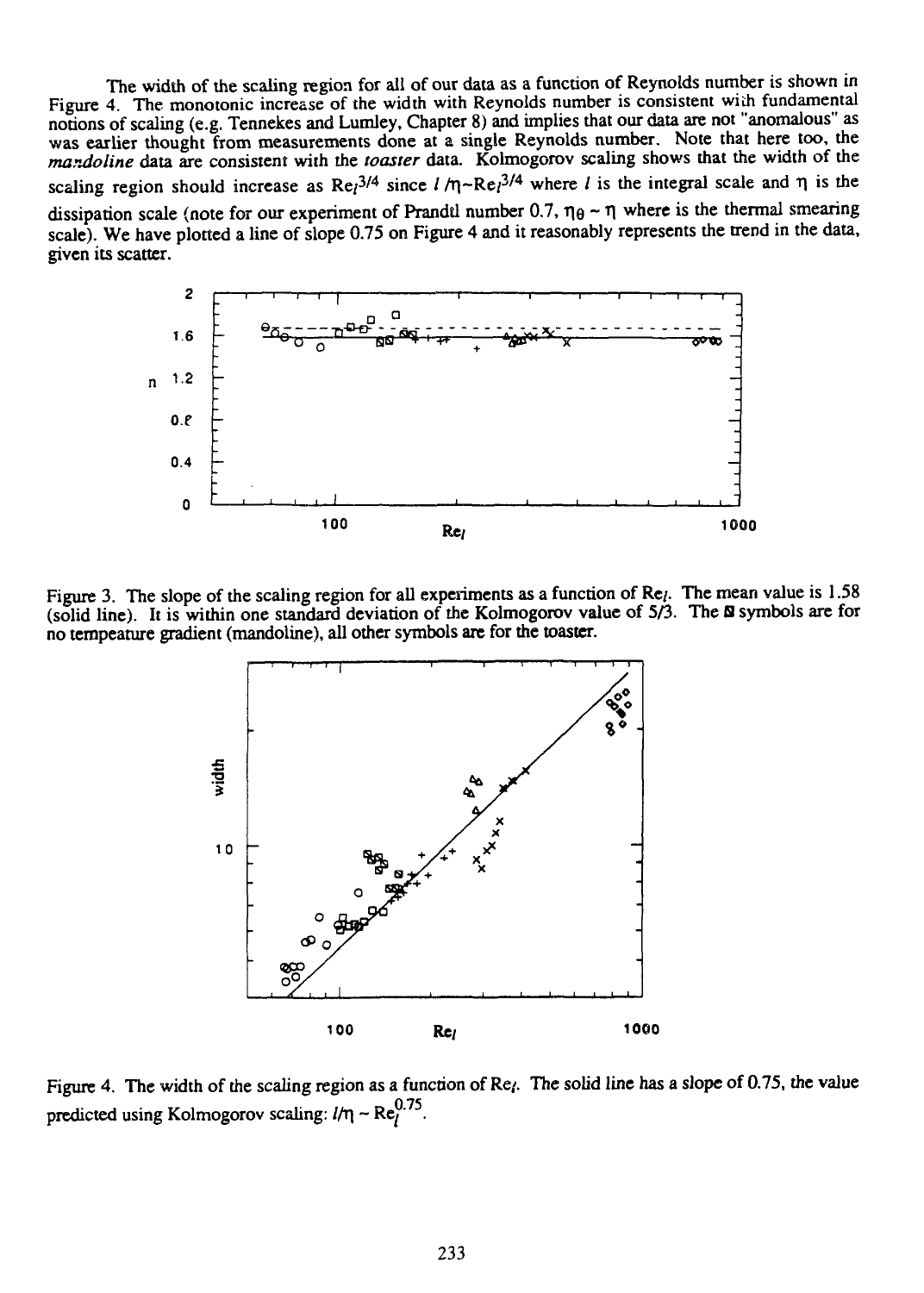The width of the scaling region for all of our data as a function of Reynolds number is shown in Figure 4. The monotonic increase of the width with Reynolds number is consistent with fundamental notions of scaling (e.g. Tennekes and Lumley, Chapter 8) and implies that our data are not "anomalous" as was earlier thought from measurements done at a single Reynolds number. Note that here too, the mandoline data are consistent with the *toaster* data. Kolmogorov scaling shows mat the width of the scaling region should increase as  $\text{Re}$ <sup>3/4</sup> since  $l/\eta \sim \text{Re}$ <sub>1</sub><sup>3/4</sup> where l is the integral scale and  $\eta$  is the dissipation scale (note for our experiment of Prandtl number 0.7,  $\eta_{\theta} \sim \eta$  where is the thermal smearing scale). We have plotted a line of slope 0.75 on Figure 4 and it reasonably represents the trend in the data, given its scatter.



Figure 3. The slope of the scaling region for all experiments as a function of Re<sub>l</sub>. The mean value is 1.58 (solid line). It is within one standard deviation of the Kolmogorov value of 5/3. The S symbols are for no tempeature gradient (mandoline), all other symbols are for the toaster.



Figure 4. The width of the scaling region as a function of Re<sub>l</sub>. The solid line has a slope of 0.75, the value predicted using Kolmogorov scaling:  $l/\eta \sim Re_l^{0.75}$ .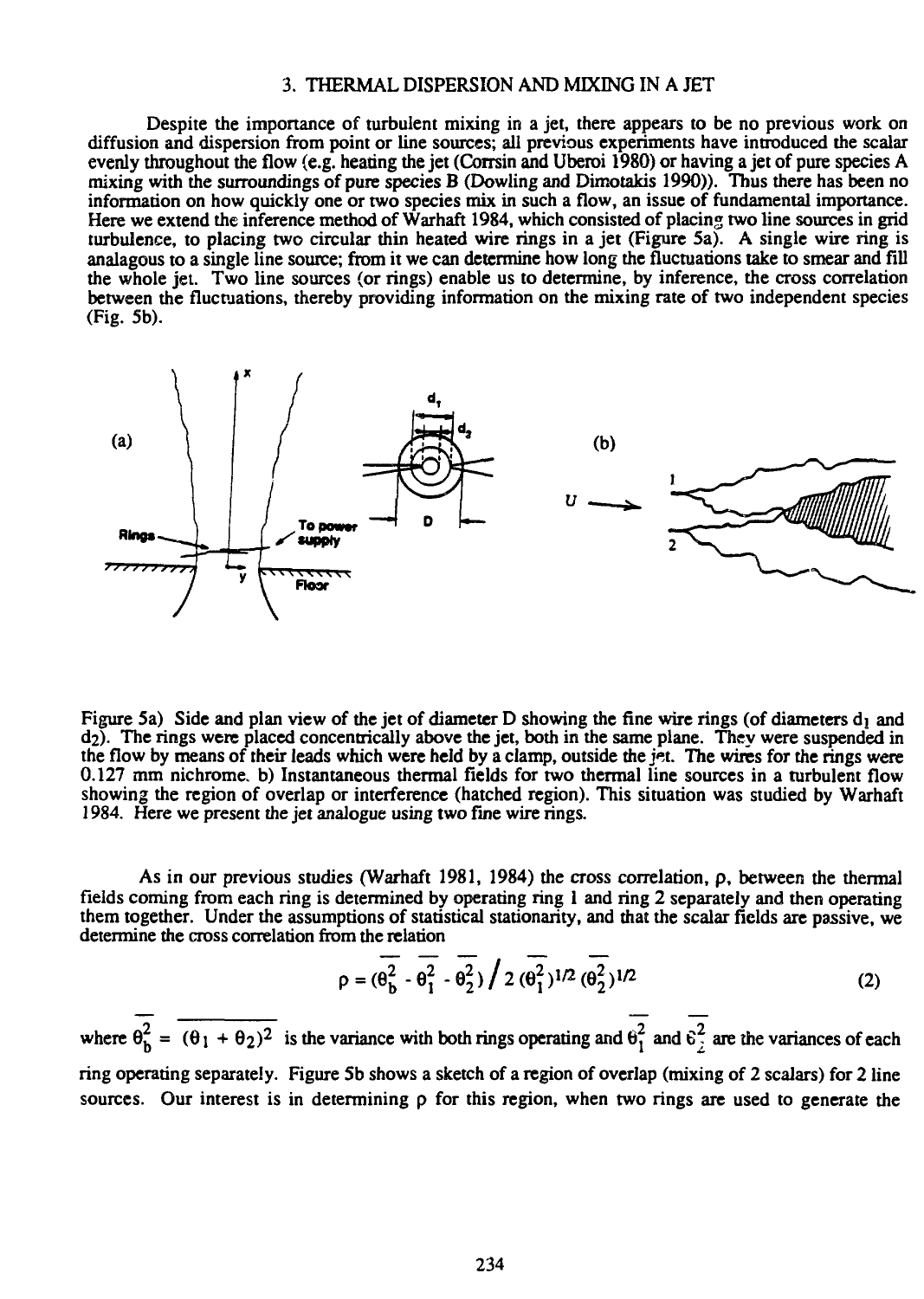### 3. THERMAL DISPERSION AND MIXING IN A JET

Despite the importance of turbulent mixing in a jet, there appears to be no previous work on diffusion and dispersion from point or line sources; all previous experiments have introduced the scalar evenly throughout the flow (e.g. heating the jet (Corrsin and Uberoi 1980) or having a jet of pure species A mixing with the surroundings of pure species B (Dowling and Dimotakis 1990)). Thus there has been no information on how quickly one or two species mix in such a flow, an issue of fundamental importance. Here we extend the inference method of Warhaft 1984, which consisted of placing two line sources in grid turbulence, to placing two circular thin heated wire rings in a jet (Figure 5a). A single wire ring is analagous to a single line source; from it we can determine how long the fluctuations take to smear and fill the whole jet. Two line sources (or rings) enable us to determine, by inference, the cross correlation between the fluctuations, thereby providing information on the mixing rate of two independent species (Fig. 5b).



Figure 5a) Side and plan view of the jet of diameter D showing the fine wire rings (of diameters  $d_1$  and d2). The rings were placed concentrically above the jet, both in the same plane. They were suspended in the flow by means of their leads which were held by a clamp, outside the  $\frac{1}{2}$ . The wires for the rings were 0.127 mm nichrome. b) Instantaneous thermal fields for two thermal line sources in a turbulent flow showing the region of overlap or interference (hatched region). This situation was studied by Warhaft 1984. Here we present the jet analogue using two fine wire rings.

As in our previous studies (Warhaft 1981, 1984) the cross correlation, p, between the thermal fields coming from each ring is determined by operating ring 1 and ring 2 separately and then operating them together. Under the assumptions of statistical stationarity, and that the scalar fields are passive, we determine the cross correlation from the relation

$$
\rho = (\theta_0^2 - \overline{\theta_1^2} - \overline{\theta_2^2}) / 2 (\overline{\theta_1^2})^{1/2} (\overline{\theta_2^2})^{1/2}
$$
 (2)

where  $\theta_h^2 = (\theta_1 + \theta_2)^2$  is the variance with both rings operating and  $\theta_1^2$  and  $\theta_2^2$  are the variances of each ring operating separately. Figure 5b shows a sketch of a region of overlap (mixing of 2 scalars) for 2 line sources. Our interest is in determining  $\rho$  for this region, when two rings are used to generate the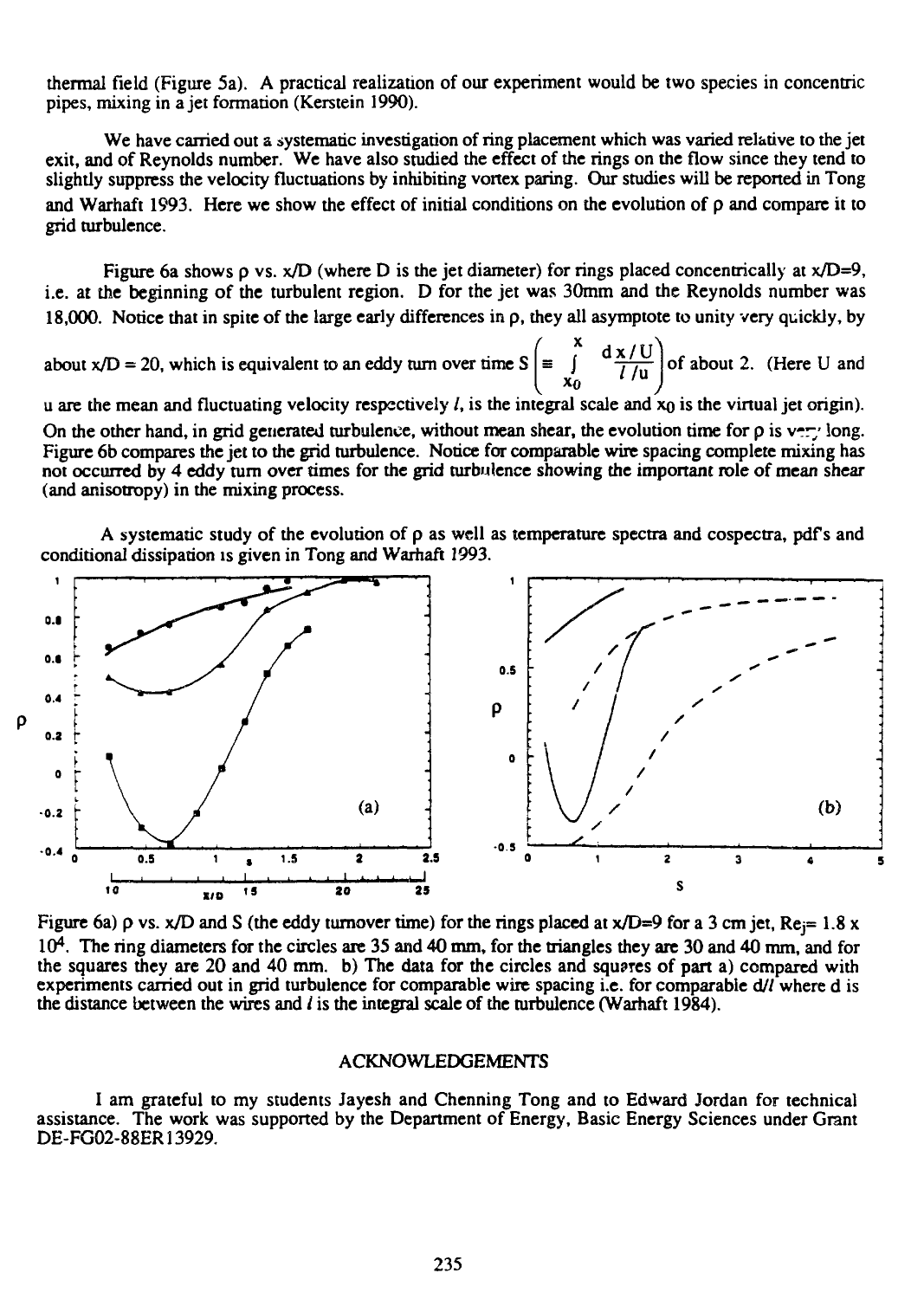thermal field (Figure 5a). A practical realization of our experiment would be two species in concentric pipes, mixing in a jet formation (Kerstein 1990).

We have carried out a systematic investigation of ring placement which was varied relative to the jet exit, and of Reynolds number. We have also studied the effect of the rings on the flow since they tend to slightly suppress the velocity fluctuations by inhibiting vortex paring. Our studies will be reported in Tong and Warhaft 1993. Here we show the effect of initial conditions on the evolution of p and compare it to grid turbulence.

Figure 6a shows  $\rho$  vs.  $x/D$  (where D is the jet diameter) for rings placed concentrically at  $x/D=9$ , i.e. at the beginning of the turbulent region. D for the jet was 30mm and the Reynolds number was 18,000. Notice that in spite of the large early differences in p, they all asymptote to unity very quickly, by

about x/D = 20, which is equivalent to an eddy turn over time  $S \equiv \int \frac{dX/U}{f/m}$  of about 2. (Here U and **I**  $\begin{bmatrix} x_0 & \overline{l/u} \\ x_0 & \overline{l/u} \end{bmatrix}$ 

u are the mean and fluctuating velocity respectively  $l$ , is the integral scale and  $x_0$  is the virtual jet origin). On the other hand, in grid generated turbulence, without mean shear, the evolution time for  $\rho$  is v-ry long. Figure 6b compares the jet to the grid turbulence. Notice for comparable wire spacing complete mixing has not occurred by 4 eddy turn over times for the grid turbulence showing the important role of mean shear (and anisotropy) in the mixing process.

A systematic study of the evolution of  $\rho$  as well as temperature spectra and cospectra, pdf's and conditional dissipation is given in Tong and Warhaft 1993.



Figure 6a)  $\rho$  vs. x/D and S (the eddy turnover time) for the rings placed at x/D=9 for a 3 cm jet, Re $= 1.8$  x 10<sup>4</sup>. The ring diameters for the circles are 35 and 40 mm, for the triangles they are 30 and 40 mm, and for the squares they are 20 and 40 mm. b) The data for the circles and squares of part a) compared with experiments carried out in grid turbulence for comparable wire spacing i.e. for comparable d// where d is the distance between the wires and  $l$  is the integral scale of the turbulence (Warhaft 1984).

### ACKNOWLEDGEMENTS

I am grateful to my students Jayesh and Chenning Tong and to Edward Jordan for technical assistance. The work was supported by the Department of Energy, Basic Energy Sciences under Grant DE-FG02-88ER13929.